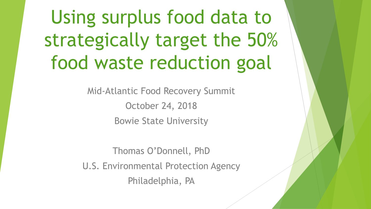Using surplus food data to strategically target the 50% food waste reduction goal

> Mid-Atlantic Food Recovery Summit October 24, 2018 Bowie State University

Thomas O'Donnell, PhD U.S. Environmental Protection Agency Philadelphia, PA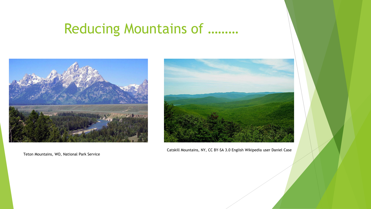# Reducing Mountains of ………



Teton Mountains, WO, National Park Service



Catskill Mountains, NY, CC BY-SA 3.0 English Wikipedia user Daniel Case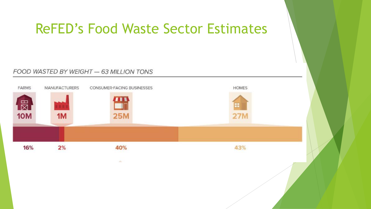## ReFED's Food Waste Sector Estimates

#### FOOD WASTED BY WEIGHT - 63 MILLION TONS

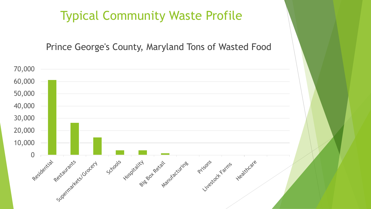### Typical Community Waste Profile

### Prince George's County, Maryland Tons of Wasted Food

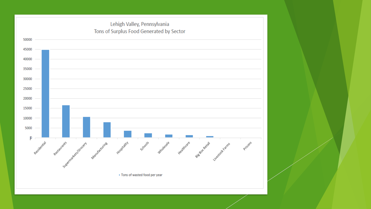#### Lehigh Valley, Pennsylvania Tons of Surplus Food Generated by Sector Healthcare Signal Recall Livestock Farms Residential Restaurants Residents International Manufacturing Schools wholesale Prisons . Tons of wasted food per year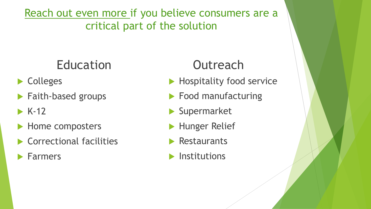Reach out even more if you believe consumers are a critical part of the solution

# Education

- ▶ Colleges
- **Faith-based groups**
- $\triangleright$  K-12
- Home composters
- ▶ Correctional facilities
- Farmers

## **Outreach**

- Hospitality food service
- **Food manufacturing**
- Supermarket
- **Hunger Relief**
- **Restaurants**
- $\blacktriangleright$  Institutions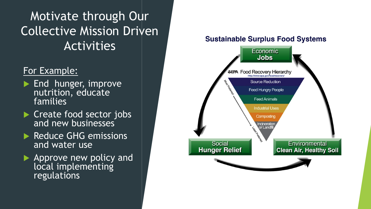Motivate through Our Collective Mission Driven Activities

### For Example:

- End hunger, improve nutrition, educate families
- Create food sector jobs and new businesses
- Reduce GHG emissions and water use
- Approve new policy and local implementing regulations

#### **Sustainable Surplus Food Systems**

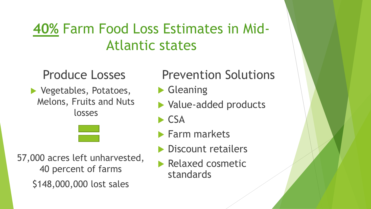# **40%** Farm Food Loss Estimates in Mid-Atlantic states

### Produce Losses

▶ Vegetables, Potatoes, Melons, Fruits and Nuts losses

## Prevention Solutions

- ▶ Gleaning
- ▶ Value-added products
- $\blacktriangleright$  CSA
- **Farm markets**
- **Discount retailers**
- Relaxed cosmetic standards

57,000 acres left unharvested, 40 percent of farms \$148,000,000 lost sales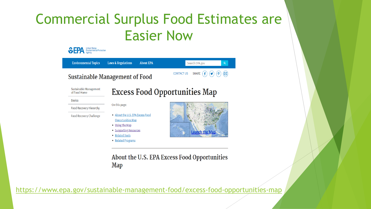# Commercial Surplus Food Estimates are Easier Now

| <b>Environmental Topics</b>            | <b>Laws &amp; Regulations</b><br><b>About EPA</b>                                                                     | Search EPA.gov<br>Q                    |
|----------------------------------------|-----------------------------------------------------------------------------------------------------------------------|----------------------------------------|
|                                        | <b>Sustainable Management of Food</b>                                                                                 | <b>CONTACT US</b><br><b>SHARE</b><br>⊠ |
| Sustainable Management<br>of Food Home |                                                                                                                       | <b>Excess Food Opportunities Map</b>   |
| <b>Basics</b>                          | On this page:                                                                                                         |                                        |
| Food Recovery Hierarchy                |                                                                                                                       | <b>Launch the Map</b>                  |
| Food Recovery Challenge                | • About the U.S. EPA Excess Food<br>Opportunities Map<br>• Using the Map<br>• Supporting Resources<br>• Related Tools |                                        |

About the 0.3. Et A Excess Food Opportunities **Map** 

<https://www.epa.gov/sustainable-management-food/excess-food-opportunities-map>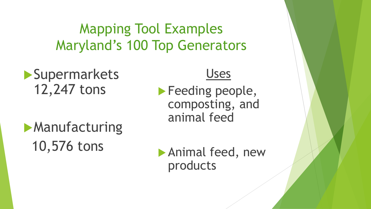Mapping Tool Examples Maryland's 100 Top Generators

**Supermarkets** 12,247 tons

**Manufacturing** 10,576 tons

Uses

**Feeding people,** composting, and animal feed

 Animal feed, new products